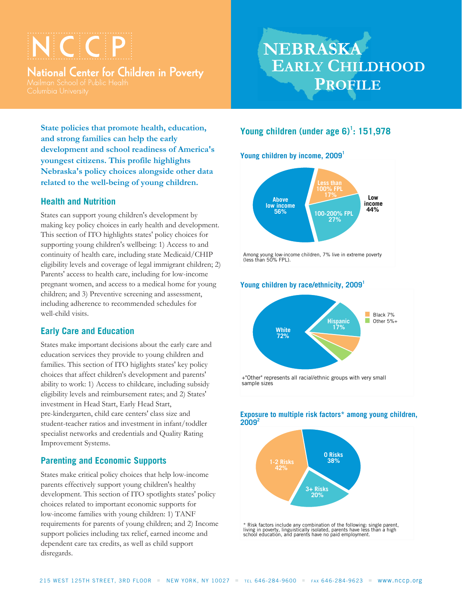# VCCP

**National Center for Children in Poverty** 

## **NEBRASKA EARLY CHILDHOOD PROFILE**

**State policies that promote health, education, and strong families can help the early development and school readiness of America's youngest citizens. This profile highlights Nebraska's policy choices alongside other data related to the well-being of young children.**

## **Health and Nutrition**

States can support young children's development by making key policy choices in early health and development. This section of ITO highlights states' policy choices for supporting young children's wellbeing: 1) Access to and continuity of health care, including state Medicaid/CHIP eligibility levels and coverage of legal immigrant children; 2) Parents' access to health care, including for low-income pregnant women, and access to a medical home for young children; and 3) Preventive screening and assessment, including adherence to recommended schedules for well-child visits.

## **Early Care and Education**

States make important decisions about the early care and education services they provide to young children and families. This section of ITO higlights states' key policy choices that affect children's development and parents' ability to work: 1) Access to childcare, including subsidy eligibility levels and reimbursement rates; and 2) States' investment in Head Start, Early Head Start, pre-kindergarten, child care centers' class size and student-teacher ratios and investment in infant/toddler specialist networks and credentials and Quality Rating Improvement Systems.

## **Parenting and Economic Supports**

States make critical policy choices that help low-income parents effectively support young children's healthy development. This section of ITO spotlights states' policy choices related to important economic supports for low-income families with young children: 1) TANF requirements for parents of young children; and 2) Income support policies including tax relief, earned income and dependent care tax credits, as well as child support disregards.

## **Young children (under age 6)<sup>1</sup> : 151,978**

**Young children by income, 2009<sup>1</sup>**



## Young children by race/ethnicity, 2009<sup>1</sup>



#### **Exposure to multiple risk factors\* among young children, 2009<sup>2</sup>**



living in poverty, linguistícally isolated, parents have less than a high<br>school education, and parents have no paid employment.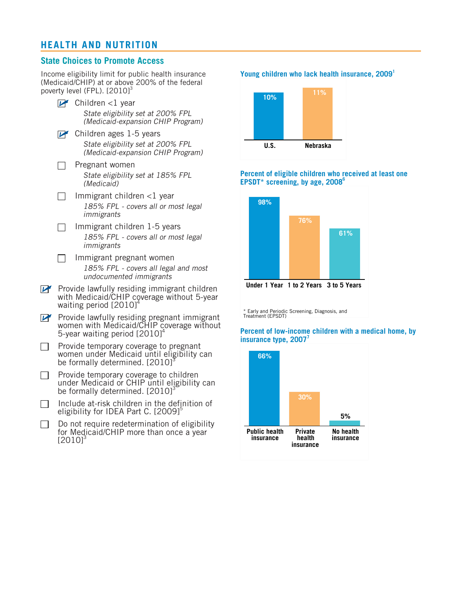## **HEALTH AND NUTRITION**

## **State Choices to Promote Access**

 $\Box$ 

Income eligibility limit for public health insurance (Medicaid/CHIP) at or above 200% of the federal poverty level (FPL). [2010]<sup>3</sup>

- $\triangleright$  Children <1 year *State eligibility set at 200% FPL (Medicaid-expansion CHIP Program)*
- $\n *C*$ hildren ages 1-5 years *State eligibility set at 200% FPL (Medicaid-expansion CHIP Program)*
	- Pregnant women *State eligibility set at 185% FPL (Medicaid)*
- Immigrant children <1 year  $\perp$ *185% FPL - covers all or most legal immigrants*
- Immigrant children 1-5 years  $\Box$ *185% FPL - covers all or most legal immigrants*
- $\Box$  Immigrant pregnant women *185% FPL - covers all legal and most undocumented immigrants*
- Provide lawfully residing immigrant children with Medicaid/CHIP coverage without 5-year waiting period  $[2010]^4$
- Provide lawfully residing pregnant immigrant women with Medicaid/CHIP coverage without 5-year waiting period  $[2010]^4$
- Provide temporary coverage to pregnant  $\Box$ women under Medicaid until eligibility can be formally determined. [2010]
- Provide temporary coverage to children  $\mathbb{R}^n$ under Medicaid or CHIP until eligibility can be formally determined.  $[2010]$ <sup>3</sup>
- Include at-risk children in the definition of  $\perp$ eligibility for IDEA Part C.  $[2009]$ <sup>5</sup>
- Do not require redetermination of eligibility for Medicaid/CHIP more than once a year  $[2010]$ <sup>3</sup>

#### **Young children who lack health insurance, 2009<sup>1</sup>**



#### **Percent of eligible children who received at least one EPSDT\* screening, by age, 2008<sup>6</sup>**



\* Early and Periodic Screening, Diagnosis, and Treatment (EPSDT)

#### **Percent of low-income children with a medical home, by insurance type, 2007<sup>7</sup>**

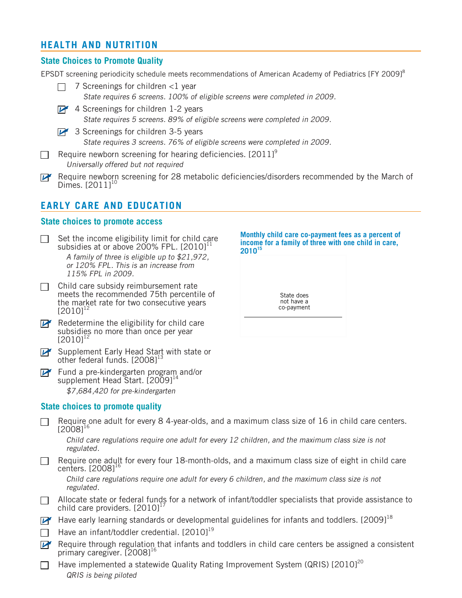## **HEALTH AND NUTRITION**

## **State Choices to Promote Quality**

EPSDT screening periodicity schedule meets recommendations of American Academy of Pediatrics [FY 2009]<sup>8</sup>

7 Screenings for children <1 year  $\Box$ *State requires 6 screens. 100% of eligible screens were completed in 2009.*  $\triangleright$  4 Screenings for children 1-2 years *State requires 5 screens. 89% of eligible screens were completed in 2009.*  $\triangleright$  3 Screenings for children 3-5 years

*State requires 3 screens. 76% of eligible screens were completed in 2009.*

- Require newborn screening for hearing deficiencies.  $[2011]$ <sup>9</sup>  $\mathbf{I}$ *Universally offered but not required*
- Require newborn screening for 28 metabolic deficiencies/disorders recommended by the March of Dimes.  $[2011]^{10}$

## **EARLY CARE AND EDUCATION**

#### **State choices to promote access**

- Set the income eligibility limit for child care subsidies at or above 200% FPL.  $[2010]$ <sup>11</sup> *A family of three is eligible up to \$21,972, or 120% FPL. This is an increase from 115% FPL in 2009.*
- $\Box$  Child care subsidy reimbursement rate meets the recommended 75th percentile of the market rate for two consecutive years  $[2010]^{12}$
- $\mathbb{F}$  Redetermine the eligibility for child care subsidies no more than once per year  $[2010]^{12}$
- Supplement Early Head Start with state or other federal funds.  $[2008]^{13}$
- Fund a pre-kindergarten program and/or supplement Head Start.  $[2009]^{14}$ *\$7,684,420 for pre-kindergarten*

### **State choices to promote quality**

- Require one adult for every 8 4-year-olds, and a maximum class size of 16 in child care centers.  $[2008]$ <sup>1</sup> *Child care regulations require one adult for every 12 children, and the maximum class size is not regulated.*  $\Box$  Require one adult for every four 18-month-olds, and a maximum class size of eight in child care centers.  $[2008]^{16}$ *Child care regulations require one adult for every 6 children, and the maximum class size is not regulated.*  $\Box$  Allocate state or federal funds for a network of infant/toddler specialists that provide assistance to child care providers.  $[2010]$ <sup>1</sup>
- Have early learning standards or developmental guidelines for infants and toddlers. [2009]<sup>18</sup>
	- Have an infant/toddler credential.  $[2010]^{19}$
- $\mathbb{F}$  Require through regulation that infants and toddlers in child care centers be assigned a consistent primary caregiver.  $[2008]^{16}$
- Have implemented a statewide Quality Rating Improvement System (QRIS) [2010]<sup>20</sup>  $\Box$ *QRIS is being piloted*



State does not have a co-payment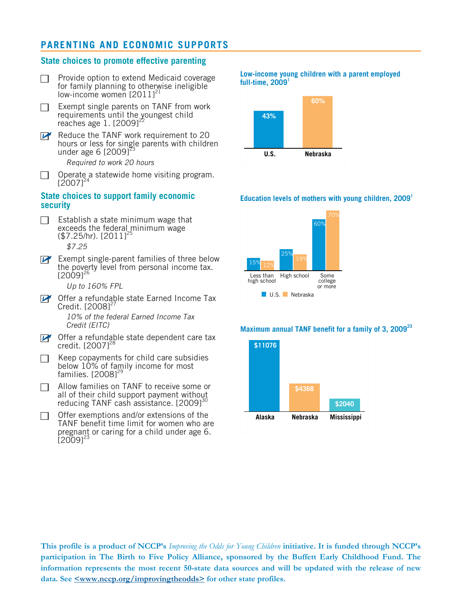## **PARENTING AND ECONOMIC SUPPORTS**

#### **State choices to promote effective parenting**

- Provide option to extend Medicaid coverage П for family planning to otherwise ineligible low-income women  $[2011]^{21}$
- Exempt single parents on TANF from work requirements until the youngest child reaches age  $1.$   $[2009]^{22}$
- Reduce the TANF work requirement to 20 hours or less for single parents with children under age 6  $[2009]$ <sup>2</sup>

*Required to work 20 hours*

Operate a statewide home visiting program.  $\Box$  $[2007]^{24}$ 

#### **State choices to support family economic security**

- Establish a state minimum wage that  $\Box$ exceeds the federal minimum wage  $($7.25/hr). [2011]^2$ *\$7.25*
- $\overrightarrow{P}$  Exempt single-parent families of three below the poverty level from personal income tax.  $[2009]^{26}$

*Up to 160% FPL*

**DE** Offer a refundable state Earned Income Tax Credit.  $[2008]$ <sup>2</sup>

*10% of the federal Earned Income Tax Credit (EITC)*

- $\triangleright$  Offer a refundable state dependent care tax credit.  $[2007]^{28}$
- Keep copayments for child care subsidies below 10% of family income for most families.  $[2008]$ <sup>2</sup>
- Allow families on TANF to receive some or  $\Box$ all of their child support payment without reducing TANF cash assistance.  $[2009]^{30}$
- Offer exemptions and/or extensions of the  $\Box$ TANF benefit time limit for women who are pregnant or caring for a child under age 6.  $[2009]^{23}$

**Low-income young children with a parent employed full-time, 2009<sup>1</sup>**



#### **Education levels of mothers with young children, 2009<sup>1</sup>**



#### **Maximum annual TANF benefit for a family of 3, 2009<sup>23</sup>**



This profile is a product of NCCP's Improving the Odds for Young Children initiative. It is funded through NCCP's **participation in The Birth to Five Policy Alliance, sponsored by the Buffett Early Childhood Fund. The information represents the most recent 50-state data sources and will be updated with the release of new data. See <www.nccp.org/improvingtheodds> for other state profiles.**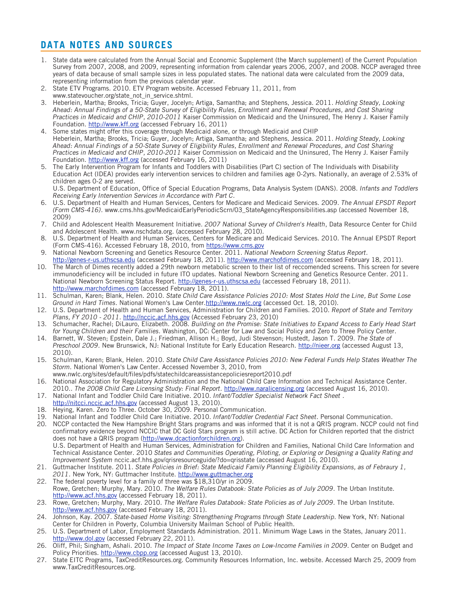## **DATA NOTES AND SOURCES**

- 1. State data were calculated from the Annual Social and Economic Supplement (the March supplement) of the Current Population Survey from 2007, 2008, and 2009, representing information from calendar years 2006, 2007, and 2008. NCCP averaged three years of data because of small sample sizes in less populated states. The national data were calculated from the 2009 data, representing information from the previous calendar year.
- 2. State ETV Programs. 2010. ETV Program website. Accessed February 11, 2011, from www.statevoucher.org/state\_not\_in\_service.shtml.
- 3. Heberlein, Martha; Brooks, Tricia; Guyer, Jocelyn; Artiga, Samantha; and Stephens, Jessica. 2011. *Holding Steady, Looking Ahead: Annual Findings of a 50-State Survey of Eligibility Rules, Enrollment and Renewal Procedures, and Cost Sharing Practices in Medicaid and CHIP, 2010-2011* Kaiser Commission on Medicaid and the Uninsured, The Henry J. Kaiser Family Foundation. [http://www.kff.org](http://www.kff.org/medicaid/upload/8130.pdf) (accessed February 16, 2011)
- 4. Some states might offer this coverage through Medicaid alone, or through Medicaid and CHIP Heberlein, Martha; Brooks, Tricia; Guyer, Jocelyn; Artiga, Samantha; and Stephens, Jessica. 2011. *Holding Steady, Looking Ahead: Annual Findings of a 50-State Survey of Eligibility Rules, Enrollment and Renewal Procedures, and Cost Sharing Practices in Medicaid and CHIP, 2010-2011* Kaiser Commission on Medicaid and the Uninsured, The Henry J. Kaiser Family Foundation. [http://www.kff.org](http://www.kff.org/medicaid/upload/8130.pdf) (accessed February 16, 2011)
- 5. The Early Intervention Program for Infants and Toddlers with Disabilities (Part C) section of The Individuals with Disability Education Act (IDEA) provides early intervention services to children and families age 0-2yrs. Nationally, an average of 2.53% of children ages 0-2 are served.

U.S. Department of Education, Office of Special Education Programs, Data Analysis System (DANS). 2008. *Infants and Toddlers Receiving Early Intervention Services in Accordance with Part C.*

- 6. U.S. Department of Health and Human Services, Centers for Medicare and Medicaid Services. 2009. *The Annual EPSDT Report (Form CMS-416).* www.cms.hhs.gov/MedicaidEarlyPeriodicScrn/03\_StateAgencyResponsibilities.asp (accessed November 18, 2009)
- 7. Child and Adolescent Health Measurement Initiative. *2007 National Survey of Children's Health*, Data Resource Center for Child and Adolescent Health. www.nschdata.org. (accessed February 28, 2010).
- 8. U.S. Department of Health and Human Services, Centers for Medicare and Medicaid Services. 2010. The Annual EPSDT Report (Form CMS-416). Accessed February 18, 2010, from [https://www.cms.gov](https://www.cms.gov/MedicaidEarlyPeriodicScrn/Downloads/2009National.pdf)
- 9. National Newborn Screening and Genetics Resource Center. 2011. *National Newborn Screening Status Report.* [http://genes-r-us.uthscsa.edu](http://genes-r-us.uthscsa.edu/nbsdisorders.htm) (accessed February 18, 2011). <http://www.marchofdimes.com> (accessed February 18, 2011).
- 10. The March of Dimes recently added a 29th newborn metabolic screen to their list of reccomended screens. This screen for severe immunodeficiency will be included in future ITO updates. National Newborn Screening and Genetics Resource Center. 2011. National Newborn Screening Status Report. <http://genes-r-us.uthscsa.edu> (accessed February 18, 2011). <http://www.marchofdimes.com> (accessed February 18, 2011).
- 11. Schulman, Karen; Blank, Helen. 2010. *State Child Care Assistance Policies 2010: Most States Hold the Line, But Some Lose Ground in Hard Times.* National Women's Law Center.[http://www.nwlc.org](http://www.nwlc.org/sites/default/files/pdfs/statechildcareassistancepoliciesreport2010.pdf) (accessed Oct. 18, 2010).
- 12. U.S. Department of Health and Human Services, Administration for Children and Families. 2010. *Report of State and Territory Plans, FY 2010 - 2011.* [http://nccic.acf.hhs.gov](http://nccic.acf.hhs.gov/pubs/stateplan2010-11/index.html/) (Accessed February 23, 2010)
- 13. Schumacher, Rachel; DiLauro, Elizabeth. 2008. *Building on the Promise: State Initiatives to Expand Access to Early Head Start for Young Children and their Families.* Washington, DC: Center for Law and Social Policy and Zero to Three Policy Center.
- 14. Barnett, W. Steven; Epstein, Dale J.; Friedman, Allison H.; Boyd, Judi Stevenson; Hustedt, Jason T. 2009. *The State of Preschool 2009.* New Brunswick, NJ: National Institute for Early Education Research. [http://nieer.org](http://nieer.org/yearbook/pdf/yearbook.pdf) (accessed August 13, 2010).
- 15. Schulman, Karen; Blank, Helen. 2010. *State Child Care Assistance Policies 2010: New Federal Funds Help States Weather The Storm.* National Women's Law Center. Accessed November 3, 2010, from
- www.nwlc.org/sites/default/files/pdfs/statechildcareassistancepoliciesreport2010.pdf 16. National Association for Regulatory Administration and the National Child Care Information and Technical Assistance Center. 2010.. *The 2008 Child Care Licensing Study: Final Report.* [http://www.naralicensing.org](http://www.naralicensing.org/associations/4734/files/1005_2008_Child%20Care%20Licensing%20Study_Full_Report.pdf) (accessed August 16, 2010).
- 17. National Infant and Toddler Child Care Initiative. 2010. *Infant/Toddler Specialist Network Fact Sheet* . [http://nitcci.nccic.acf.hhs.gov](http://nitcci.nccic.acf.hhs.gov/resources/it_specialist_factsheet.pdf) (accessed August 13, 2010).
- 18. Heying, Karen. Zero to Three. October 30, 2009. Personal Communication.
- 19. National Infant and Toddler Child Care Initiative. 2010. *Infant/Toddler Credential Fact Sheet*. Personal Communication.
- 20. NCCP contacted the New Hampshire Bright Stars programs and was informed that it is not a QRIS program. NCCP could not find confirmatory evidence beyond NCCIC that DC Gold Stars program is still active. DC Action for Children reported that the district does not have a QRIS program [\(http://www.dcactionforchildren.org\)](http://www.dcactionforchildren.org). U.S. Department of Health and Human Services, Administration for Children and Families, National Child Care Information and Technical Assistance Center. 2010 *States and Communities Operating, Piloting, or Exploring or Designing a Quality Rating and*
- *Improvement System* nccic.acf.hhs.gov/qrisresourceguide/?do=qrisstate (accessed August 16, 2010). 21. Guttmacher Institute. 2011. *State Policies in Brief: State Medicaid Family Planning Eligibility Expansions, as of Febraury 1,* 2011. New York, NY: Guttmacher Institute. [http://www.guttmacher.org](http://www.guttmacher.org/statecenter/spibs/spib_SMFPE.pdf)
- 22. The federal poverty level for a family of three was \$18,310/yr in 2009. Rowe, Gretchen; Murphy, Mary. 2010. *The Welfare Rules Databook: State Policies as of July 2009.* The Urban Institute. [http://www.acf.hhs.gov](http://www.acf.hhs.gov/programs/opre/welfare_employ/state_tanf/databook09/databook09.pdf) (accessed February 18, 2011).
- 23. Rowe, Gretchen; Murphy, Mary. 2010. *The Welfare Rules Databook: State Policies as of July 2009.* The Urban Institute. [http://www.acf.hhs.gov](http://www.acf.hhs.gov/programs/opre/welfare_employ/state_tanf/databook09/databook09.pdf) (accessed February 18, 2011).
- 24. Johnson, Kay. 2007. *State-based Home Visiting: Strengthening Programs through State Leadership.* New York, NY: National Center for Children in Poverty, Columbia University Mailman School of Public Health.
- 25. U.S. Department of Labor, Employment Standards Administration. 2011. Minimum Wage Laws in the States, January 2011. <http://www.dol.gov> (accessed February 22, 2011).
- 26. Oliff, Phil; Singham, Ashali. 2010. *The Impact of State Income Taxes on Low-Income Families in 2009.* Center on Budget and Policy Priorities. [http://www.cbpp.org](http://www.cbpp.org/files/4-29-10sfp2.pdf) (accessed August 13, 2010).
- 27. State EITC Programs, TaxCreditResources.org. Community Resources Information, Inc. website. Accessed March 25, 2009 from www.TaxCreditResources.org.